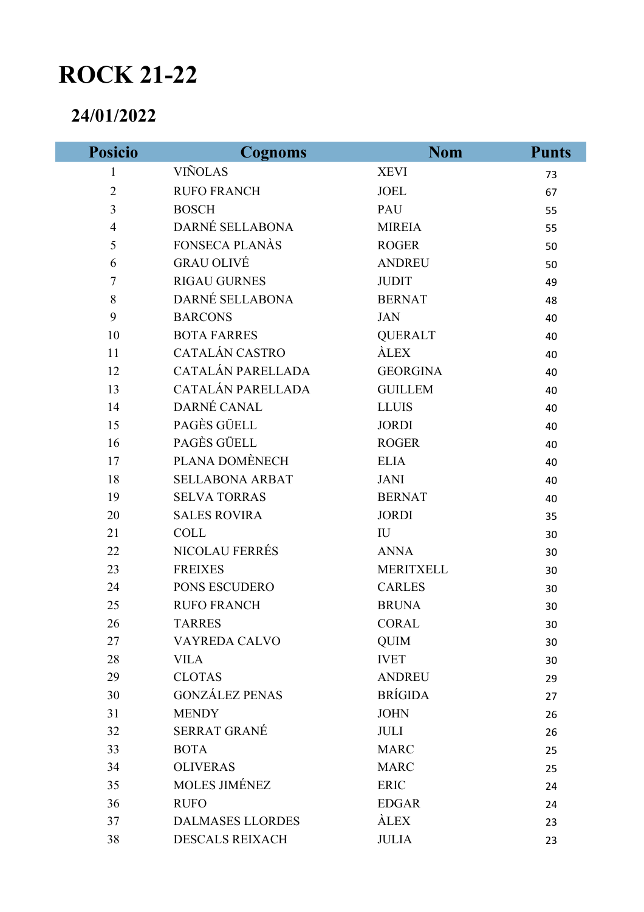## **ROCK 21-22**

## **24/01/2022**

Γ

| <b>Posicio</b>           | <b>Cognoms</b>          | <b>Nom</b>              | <b>Punts</b> |
|--------------------------|-------------------------|-------------------------|--------------|
| $\mathbf{1}$             | <b>VIÑOLAS</b>          | <b>XEVI</b>             | 73           |
| $\overline{2}$           | <b>RUFO FRANCH</b>      | <b>JOEL</b>             | 67           |
| 3                        | <b>BOSCH</b>            | PAU                     | 55           |
| $\overline{\mathcal{A}}$ | DARNÉ SELLABONA         | <b>MIREIA</b>           | 55           |
| 5                        | FONSECA PLANÀS          | <b>ROGER</b>            | 50           |
| 6                        | <b>GRAU OLIVÉ</b>       | <b>ANDREU</b>           | 50           |
| $\boldsymbol{7}$         | <b>RIGAU GURNES</b>     | <b>JUDIT</b>            | 49           |
| 8                        | DARNÉ SELLABONA         | <b>BERNAT</b>           | 48           |
| 9                        | <b>BARCONS</b>          | <b>JAN</b>              | 40           |
| 10                       | <b>BOTA FARRES</b>      | <b>QUERALT</b>          | 40           |
| 11                       | CATALÁN CASTRO          | <b>ALEX</b>             | 40           |
| 12                       | CATALÁN PARELLADA       | <b>GEORGINA</b>         | 40           |
| 13                       | CATALÁN PARELLADA       | <b>GUILLEM</b>          | 40           |
| 14                       | DARNÉ CANAL             | <b>LLUIS</b>            | 40           |
| 15                       | PAGÈS GÜELL             | <b>JORDI</b>            | 40           |
| 16                       | PAGÈS GÜELL             | <b>ROGER</b>            | 40           |
| 17                       | PLANA DOMÈNECH          | <b>ELIA</b>             | 40           |
| 18                       | <b>SELLABONA ARBAT</b>  | <b>JANI</b>             | 40           |
| 19                       | <b>SELVA TORRAS</b>     | <b>BERNAT</b>           | 40           |
| 20                       | <b>SALES ROVIRA</b>     | <b>JORDI</b>            | 35           |
| 21                       | <b>COLL</b>             | $\mathbf{I} \mathbf{U}$ | 30           |
| 22                       | NICOLAU FERRÉS          | <b>ANNA</b>             | 30           |
| 23                       | <b>FREIXES</b>          | <b>MERITXELL</b>        | 30           |
| 24                       | PONS ESCUDERO           | <b>CARLES</b>           | 30           |
| 25                       | <b>RUFO FRANCH</b>      | <b>BRUNA</b>            | 30           |
| 26                       | <b>TARRES</b>           | <b>CORAL</b>            | 30           |
| 27                       | VAYREDA CALVO           | <b>QUIM</b>             | 30           |
| 28                       | <b>VILA</b>             | <b>IVET</b>             | 30           |
| 29                       | <b>CLOTAS</b>           | <b>ANDREU</b>           | 29           |
| 30                       | <b>GONZÁLEZ PENAS</b>   | <b>BRÍGIDA</b>          | 27           |
| 31                       | <b>MENDY</b>            | <b>JOHN</b>             | 26           |
| 32                       | <b>SERRAT GRANÉ</b>     | <b>JULI</b>             | 26           |
| 33                       | <b>BOTA</b>             | <b>MARC</b>             | 25           |
| 34                       | <b>OLIVERAS</b>         | <b>MARC</b>             | 25           |
| 35                       | <b>MOLES JIMÉNEZ</b>    | <b>ERIC</b>             | 24           |
| 36                       | <b>RUFO</b>             | <b>EDGAR</b>            | 24           |
| 37                       | <b>DALMASES LLORDES</b> | <b>ALEX</b>             | 23           |
| 38                       | <b>DESCALS REIXACH</b>  | <b>JULIA</b>            | 23           |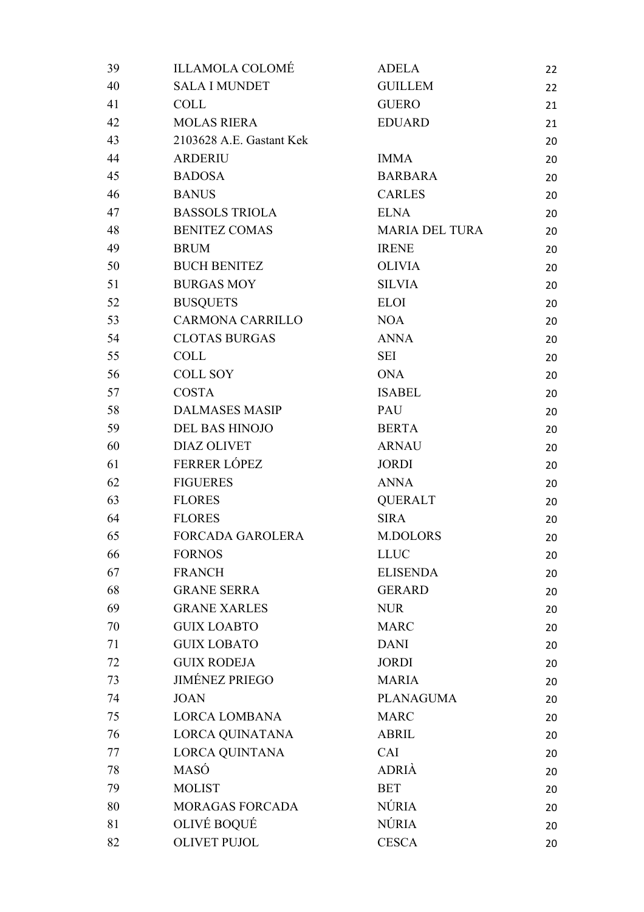| 39 | <b>ILLAMOLA COLOMÉ</b>   | <b>ADELA</b>          | 22 |
|----|--------------------------|-----------------------|----|
| 40 | <b>SALA I MUNDET</b>     | <b>GUILLEM</b>        | 22 |
| 41 | <b>COLL</b>              | <b>GUERO</b>          | 21 |
| 42 | <b>MOLAS RIERA</b>       | <b>EDUARD</b>         | 21 |
| 43 | 2103628 A.E. Gastant Kek |                       | 20 |
| 44 | <b>ARDERIU</b>           | <b>IMMA</b>           | 20 |
| 45 | <b>BADOSA</b>            | <b>BARBARA</b>        | 20 |
| 46 | <b>BANUS</b>             | <b>CARLES</b>         | 20 |
| 47 | <b>BASSOLS TRIOLA</b>    | <b>ELNA</b>           | 20 |
| 48 | <b>BENITEZ COMAS</b>     | <b>MARIA DEL TURA</b> | 20 |
| 49 | <b>BRUM</b>              | <b>IRENE</b>          | 20 |
| 50 | <b>BUCH BENITEZ</b>      | <b>OLIVIA</b>         | 20 |
| 51 | <b>BURGAS MOY</b>        | <b>SILVIA</b>         | 20 |
| 52 | <b>BUSQUETS</b>          | <b>ELOI</b>           | 20 |
| 53 | <b>CARMONA CARRILLO</b>  | <b>NOA</b>            | 20 |
| 54 | <b>CLOTAS BURGAS</b>     | <b>ANNA</b>           | 20 |
| 55 | <b>COLL</b>              | <b>SEI</b>            | 20 |
| 56 | <b>COLL SOY</b>          | <b>ONA</b>            | 20 |
| 57 | <b>COSTA</b>             | <b>ISABEL</b>         | 20 |
| 58 | <b>DALMASES MASIP</b>    | PAU                   | 20 |
| 59 | <b>DEL BAS HINOJO</b>    | <b>BERTA</b>          | 20 |
| 60 | <b>DIAZ OLIVET</b>       | <b>ARNAU</b>          | 20 |
| 61 | FERRER LÓPEZ             | <b>JORDI</b>          | 20 |
| 62 | <b>FIGUERES</b>          | <b>ANNA</b>           | 20 |
| 63 | <b>FLORES</b>            | <b>QUERALT</b>        | 20 |
| 64 | <b>FLORES</b>            | <b>SIRA</b>           | 20 |
| 65 | <b>FORCADA GAROLERA</b>  | <b>M.DOLORS</b>       | 20 |
| 66 | <b>FORNOS</b>            | <b>LLUC</b>           | 20 |
| 67 | <b>FRANCH</b>            | <b>ELISENDA</b>       | 20 |
| 68 | <b>GRANE SERRA</b>       | <b>GERARD</b>         | 20 |
| 69 | <b>GRANE XARLES</b>      | <b>NUR</b>            | 20 |
| 70 | <b>GUIX LOABTO</b>       | <b>MARC</b>           | 20 |
| 71 | <b>GUIX LOBATO</b>       | <b>DANI</b>           | 20 |
| 72 | <b>GUIX RODEJA</b>       | <b>JORDI</b>          | 20 |
| 73 | <b>JIMÉNEZ PRIEGO</b>    | <b>MARIA</b>          | 20 |
| 74 | <b>JOAN</b>              | <b>PLANAGUMA</b>      | 20 |
| 75 | <b>LORCA LOMBANA</b>     | <b>MARC</b>           | 20 |
| 76 | LORCA QUINATANA          | <b>ABRIL</b>          | 20 |
| 77 | LORCA QUINTANA           | CAI                   | 20 |
| 78 | MASÓ                     | <b>ADRIÀ</b>          | 20 |
| 79 | <b>MOLIST</b>            | <b>BET</b>            | 20 |
| 80 | <b>MORAGAS FORCADA</b>   | <b>NÚRIA</b>          | 20 |
| 81 | OLIVÉ BOQUÉ              | <b>NÚRIA</b>          | 20 |
| 82 | <b>OLIVET PUJOL</b>      | <b>CESCA</b>          | 20 |
|    |                          |                       |    |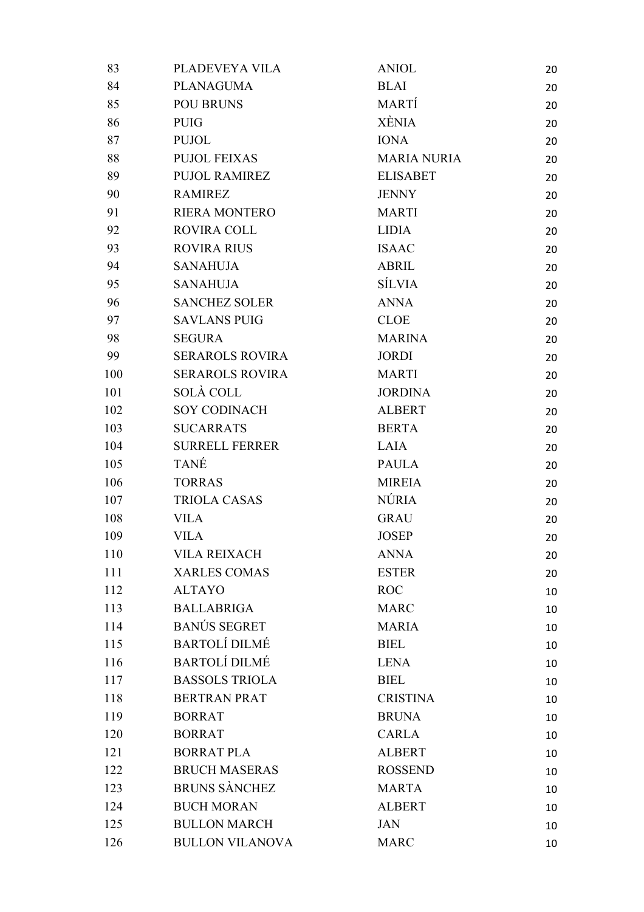| 83  | PLADEVEYA VILA         | <b>ANIOL</b>       | 20 |
|-----|------------------------|--------------------|----|
| 84  | <b>PLANAGUMA</b>       | <b>BLAI</b>        | 20 |
| 85  | <b>POU BRUNS</b>       | <b>MARTÍ</b>       | 20 |
| 86  | <b>PUIG</b>            | <b>XÈNIA</b>       | 20 |
| 87  | <b>PUJOL</b>           | <b>IONA</b>        | 20 |
| 88  | <b>PUJOL FEIXAS</b>    | <b>MARIA NURIA</b> | 20 |
| 89  | <b>PUJOL RAMIREZ</b>   | <b>ELISABET</b>    | 20 |
| 90  | <b>RAMIREZ</b>         | <b>JENNY</b>       | 20 |
| 91  | <b>RIERA MONTERO</b>   | <b>MARTI</b>       | 20 |
| 92  | <b>ROVIRA COLL</b>     | <b>LIDIA</b>       | 20 |
| 93  | <b>ROVIRA RIUS</b>     | <b>ISAAC</b>       | 20 |
| 94  | <b>SANAHUJA</b>        | <b>ABRIL</b>       | 20 |
| 95  | <b>SANAHUJA</b>        | <b>SÍLVIA</b>      | 20 |
| 96  | <b>SANCHEZ SOLER</b>   | <b>ANNA</b>        | 20 |
| 97  | <b>SAVLANS PUIG</b>    | <b>CLOE</b>        | 20 |
| 98  | <b>SEGURA</b>          | <b>MARINA</b>      | 20 |
| 99  | <b>SERAROLS ROVIRA</b> | <b>JORDI</b>       | 20 |
| 100 | <b>SERAROLS ROVIRA</b> | <b>MARTI</b>       | 20 |
| 101 | SOLÀ COLL              | <b>JORDINA</b>     | 20 |
| 102 | <b>SOY CODINACH</b>    | <b>ALBERT</b>      | 20 |
| 103 | <b>SUCARRATS</b>       | <b>BERTA</b>       | 20 |
| 104 | <b>SURRELL FERRER</b>  | LAIA               | 20 |
| 105 | <b>TANÉ</b>            | <b>PAULA</b>       | 20 |
| 106 | <b>TORRAS</b>          | <b>MIREIA</b>      | 20 |
| 107 | <b>TRIOLA CASAS</b>    | <b>NÚRIA</b>       | 20 |
| 108 | <b>VILA</b>            | <b>GRAU</b>        | 20 |
| 109 | <b>VILA</b>            | <b>JOSEP</b>       | 20 |
| 110 | <b>VILA REIXACH</b>    | <b>ANNA</b>        | 20 |
| 111 | <b>XARLES COMAS</b>    | <b>ESTER</b>       | 20 |
| 112 | <b>ALTAYO</b>          | <b>ROC</b>         | 10 |
| 113 | <b>BALLABRIGA</b>      | <b>MARC</b>        | 10 |
| 114 | <b>BANÚS SEGRET</b>    | <b>MARIA</b>       | 10 |
| 115 | <b>BARTOLÍ DILMÉ</b>   | <b>BIEL</b>        | 10 |
| 116 | <b>BARTOLÍ DILMÉ</b>   | <b>LENA</b>        | 10 |
| 117 | <b>BASSOLS TRIOLA</b>  | <b>BIEL</b>        | 10 |
| 118 | <b>BERTRAN PRAT</b>    | <b>CRISTINA</b>    | 10 |
| 119 | <b>BORRAT</b>          | <b>BRUNA</b>       | 10 |
| 120 | <b>BORRAT</b>          | <b>CARLA</b>       | 10 |
| 121 | <b>BORRAT PLA</b>      | <b>ALBERT</b>      | 10 |
| 122 | <b>BRUCH MASERAS</b>   | <b>ROSSEND</b>     | 10 |
| 123 | <b>BRUNS SÀNCHEZ</b>   | <b>MARTA</b>       | 10 |
| 124 | <b>BUCH MORAN</b>      | <b>ALBERT</b>      | 10 |
| 125 | <b>BULLON MARCH</b>    | <b>JAN</b>         | 10 |
| 126 | <b>BULLON VILANOVA</b> | <b>MARC</b>        | 10 |
|     |                        |                    |    |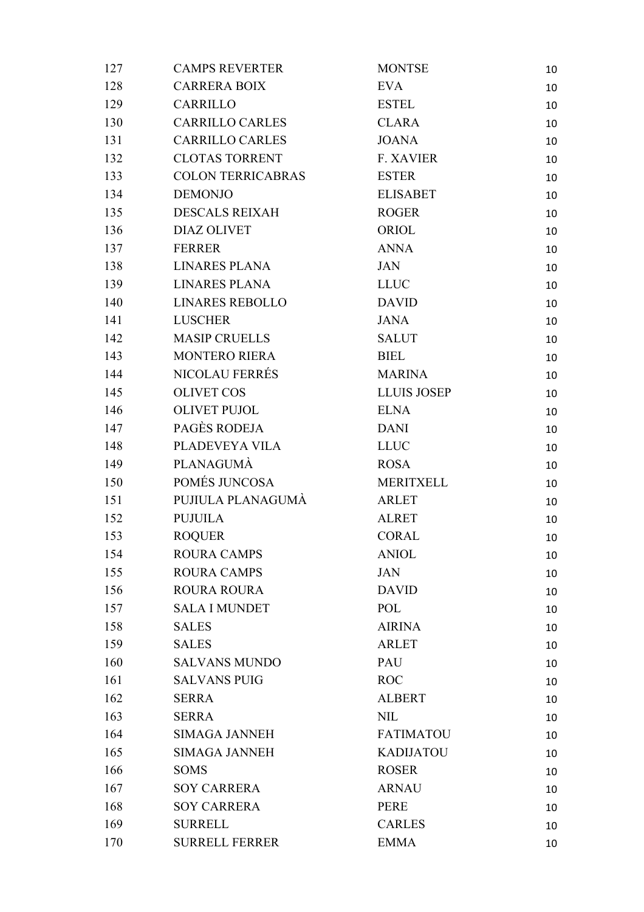| 127 | <b>CAMPS REVERTER</b>    | <b>MONTSE</b>      | 10 |
|-----|--------------------------|--------------------|----|
| 128 | <b>CARRERA BOIX</b>      | <b>EVA</b>         | 10 |
| 129 | <b>CARRILLO</b>          | <b>ESTEL</b>       | 10 |
| 130 | <b>CARRILLO CARLES</b>   | <b>CLARA</b>       | 10 |
| 131 | <b>CARRILLO CARLES</b>   | <b>JOANA</b>       | 10 |
| 132 | <b>CLOTAS TORRENT</b>    | <b>F. XAVIER</b>   | 10 |
| 133 | <b>COLON TERRICABRAS</b> | <b>ESTER</b>       | 10 |
| 134 | <b>DEMONJO</b>           | <b>ELISABET</b>    | 10 |
| 135 | <b>DESCALS REIXAH</b>    | <b>ROGER</b>       | 10 |
| 136 | <b>DIAZ OLIVET</b>       | ORIOL              | 10 |
| 137 | FERRER                   | <b>ANNA</b>        | 10 |
| 138 | LINARES PLANA            | JAN                | 10 |
| 139 | <b>LINARES PLANA</b>     | <b>LLUC</b>        | 10 |
| 140 | <b>LINARES REBOLLO</b>   | <b>DAVID</b>       | 10 |
| 141 | <b>LUSCHER</b>           | <b>JANA</b>        | 10 |
| 142 | <b>MASIP CRUELLS</b>     | <b>SALUT</b>       | 10 |
| 143 | <b>MONTERO RIERA</b>     | <b>BIEL</b>        | 10 |
| 144 | <b>NICOLAU FERRÉS</b>    | <b>MARINA</b>      | 10 |
| 145 | <b>OLIVET COS</b>        | <b>LLUIS JOSEP</b> | 10 |
| 146 | <b>OLIVET PUJOL</b>      | <b>ELNA</b>        | 10 |
| 147 | PAGÈS RODEJA             | <b>DANI</b>        | 10 |
| 148 | PLADEVEYA VILA           | <b>LLUC</b>        | 10 |
| 149 | PLANAGUMA                | <b>ROSA</b>        | 10 |
| 150 | POMÉS JUNCOSA            | <b>MERITXELL</b>   | 10 |
| 151 | PUJIULA PLANAGUMA        | <b>ARLET</b>       | 10 |
| 152 | <b>PUJUILA</b>           | <b>ALRET</b>       | 10 |
| 153 | <b>ROQUER</b>            | <b>CORAL</b>       | 10 |
| 154 | <b>ROURA CAMPS</b>       | <b>ANIOL</b>       | 10 |
| 155 | <b>ROURA CAMPS</b>       | <b>JAN</b>         | 10 |
| 156 | <b>ROURA ROURA</b>       | <b>DAVID</b>       | 10 |
| 157 | <b>SALA I MUNDET</b>     | POL                | 10 |
| 158 | <b>SALES</b>             | <b>AIRINA</b>      | 10 |
| 159 | <b>SALES</b>             | <b>ARLET</b>       | 10 |
| 160 | <b>SALVANS MUNDO</b>     | PAU                | 10 |
| 161 | <b>SALVANS PUIG</b>      | <b>ROC</b>         | 10 |
| 162 | <b>SERRA</b>             | <b>ALBERT</b>      | 10 |
| 163 | <b>SERRA</b>             | <b>NIL</b>         | 10 |
| 164 | <b>SIMAGA JANNEH</b>     | <b>FATIMATOU</b>   | 10 |
| 165 | <b>SIMAGA JANNEH</b>     | <b>KADIJATOU</b>   | 10 |
| 166 | <b>SOMS</b>              | <b>ROSER</b>       | 10 |
| 167 | <b>SOY CARRERA</b>       | <b>ARNAU</b>       | 10 |
| 168 | <b>SOY CARRERA</b>       | PERE               | 10 |
| 169 | <b>SURRELL</b>           | <b>CARLES</b>      | 10 |
| 170 | <b>SURRELL FERRER</b>    | <b>EMMA</b>        | 10 |